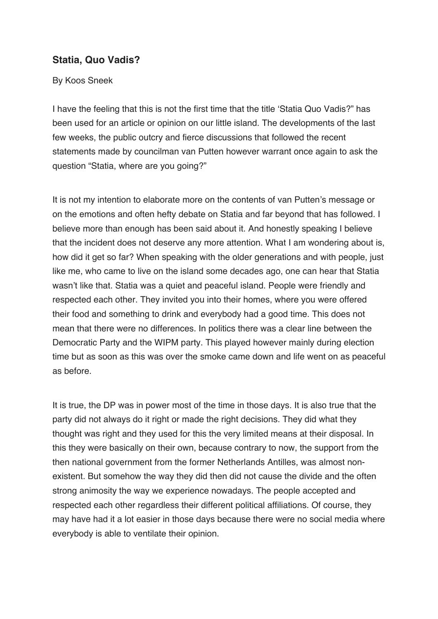## **Statia, Quo Vadis?**

## By Koos Sneek

I have the feeling that this is not the first time that the title 'Statia Quo Vadis?" has been used for an article or opinion on our little island. The developments of the last few weeks, the public outcry and fierce discussions that followed the recent statements made by councilman van Putten however warrant once again to ask the question "Statia, where are you going?"

It is not my intention to elaborate more on the contents of van Putten's message or on the emotions and often hefty debate on Statia and far beyond that has followed. I believe more than enough has been said about it. And honestly speaking I believe that the incident does not deserve any more attention. What I am wondering about is, how did it get so far? When speaking with the older generations and with people, just like me, who came to live on the island some decades ago, one can hear that Statia wasn't like that. Statia was a quiet and peaceful island. People were friendly and respected each other. They invited you into their homes, where you were offered their food and something to drink and everybody had a good time. This does not mean that there were no differences. In politics there was a clear line between the Democratic Party and the WIPM party. This played however mainly during election time but as soon as this was over the smoke came down and life went on as peaceful as before.

It is true, the DP was in power most of the time in those days. It is also true that the party did not always do it right or made the right decisions. They did what they thought was right and they used for this the very limited means at their disposal. In this they were basically on their own, because contrary to now, the support from the then national government from the former Netherlands Antilles, was almost nonexistent. But somehow the way they did then did not cause the divide and the often strong animosity the way we experience nowadays. The people accepted and respected each other regardless their different political affiliations. Of course, they may have had it a lot easier in those days because there were no social media where everybody is able to ventilate their opinion.